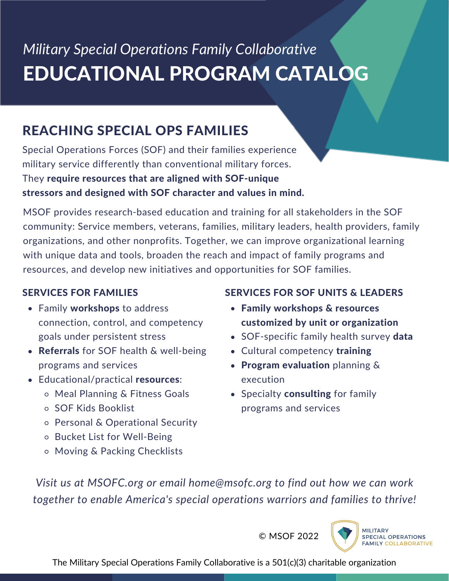# *Military Special Operations Family Collaborative* EDUCATIONAL PROGRAM CATALOG

### REACHING SPECIAL OPS FAMILIES

Special Operations Forces (SOF) and their families experience military service differently than conventional military forces. They require resources that are aligned with SOF-unique stressors and designed with SOF character and values in mind.

MSOF provides research-based education and training for all stakeholders in the SOF community: Service members, veterans, families, military leaders, health providers, family organizations, and other nonprofits. Together, we can improve organizational learning with unique data and tools, broaden the reach and impact of family programs and resources, and develop new initiatives and opportunities for SOF families.

### SERVICES FOR FAMILIES

- Family workshops to address connection, control, and competency goals under persistent stress
- Referrals for SOF health & well-being programs and services
- Educational/practical resources:
	- Meal Planning & Fitness Goals
	- SOF Kids Booklist
	- Personal & Operational Security
	- o Bucket List for Well-Being
	- Moving & Packing Checklists

### SERVICES FOR SOF UNITS & LEADERS

- Family workshops & resources customized by unit or organization
- SOF-specific family health survey data
- Cultural competency training
- Program evaluation planning  $\&$ execution
- Specialty consulting for family programs and services

*Visit us at MSOFC.org or email home@msofc.org to find out how we can work together to enable America's special operations warriors and families to thrive!*

© MSOF 2022

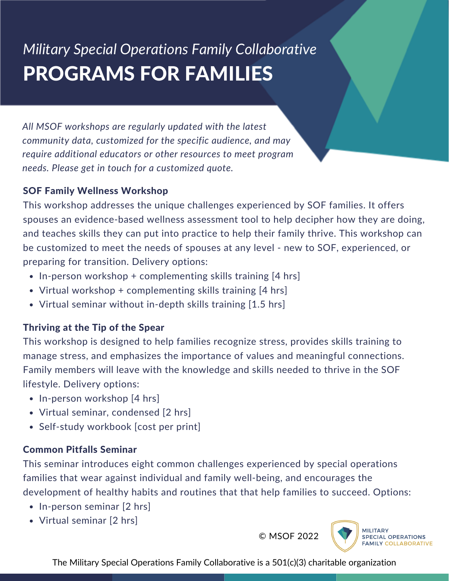# *Military Special Operations Family Collaborative* PROGRAMS FOR FAMILIES

*All MSOF workshops are regularly updated with the latest community data, customized for the specific audience, and may require additional educators or other resources to meet program needs. Please get in touch for a customized quote.*

#### SOF Family Wellness Workshop

This workshop addresses the unique challenges experienced by SOF families. It offers spouses an evidence-based wellness assessment tool to help decipher how they are doing, and teaches skills they can put into practice to help their family thrive. This workshop can be customized to meet the needs of spouses at any level - new to SOF, experienced, or preparing for transition. Delivery options:

- $\bullet$  In-person workshop + complementing skills training [4 hrs]
- Virtual workshop + complementing skills training [4 hrs]
- Virtual seminar without in-depth skills training [1.5 hrs]

### Thriving at the Tip of the Spear

This workshop is designed to help families recognize stress, provides skills training to manage stress, and emphasizes the importance of values and meaningful connections. Family members will leave with the knowledge and skills needed to thrive in the SOF lifestyle. Delivery options:

- In-person workshop [4 hrs]
- Virtual seminar, condensed [2 hrs]
- Self-study workbook [cost per print]

### Common Pitfalls Seminar

This seminar introduces eight common challenges experienced by special operations families that wear against individual and family well-being, and encourages the development of healthy habits and routines that that help families to succeed. Options:

- In-person seminar [2 hrs]
- Virtual seminar [2 hrs]

© MSOF 2022

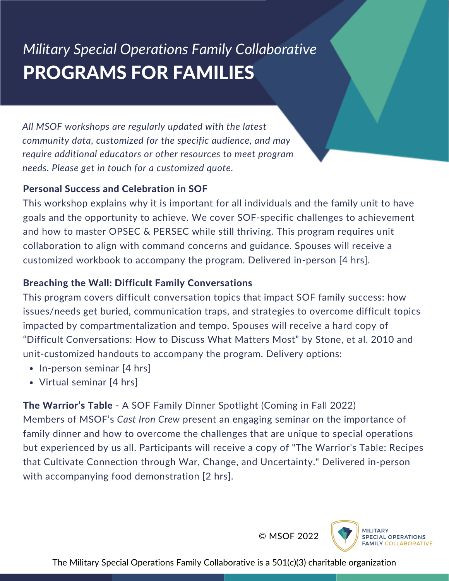## *Military Special Operations Family Collaborative* PROGRAMS FOR FAMILIES

*All MSOF workshops are regularly updated with the latest community data, customized for the specific audience, and may require additional educators or other resources to meet program needs. Please get in touch for a customized quote.*

#### Personal Success and Celebration in SOF

This workshop explains why it is important for all individuals and the family unit to have goals and the opportunity to achieve. We cover SOF-specific challenges to achievement and how to master OPSEC & PERSEC while still thriving. This program requires unit collaboration to align with command concerns and guidance. Spouses will receive a customized workbook to accompany the program. Delivered in-person [4 hrs].

#### Breaching the Wall: Difficult Family Conversations

This program covers difficult conversation topics that impact SOF family success: how issues/needs get buried, communication traps, and strategies to overcome difficult topics impacted by compartmentalization and tempo. Spouses will receive a hard copy of "Difficult Conversations: How to Discuss What Matters Most" by Stone, et al. 2010 and unit-customized handouts to accompany the program. Delivery options:

- $\bullet$  In-person seminar [4 hrs]
- Virtual seminar [4 hrs]

The Warrior's Table - A SOF Family Dinner Spotlight (Coming in Fall 2022) Members of MSOF's *Cast Iron Crew* present an engaging seminar on the importance of family dinner and how to overcome the challenges that are unique to special operations but experienced by us all. Participants will receive a copy of "The Warrior's Table: Recipes that Cultivate Connection through War, Change, and Uncertainty." Delivered in-person with accompanying food demonstration [2 hrs].

© MSOF 2022

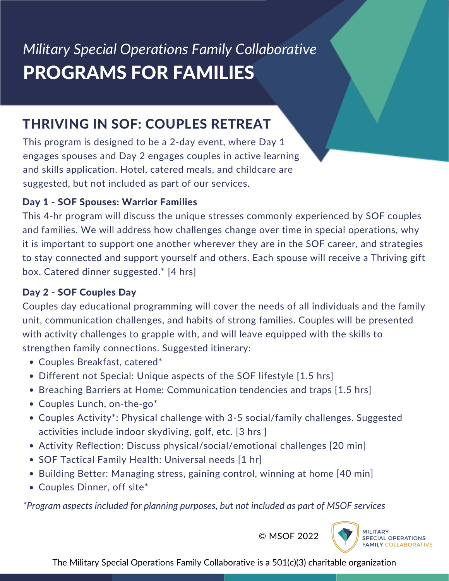## *Military Special Operations Family Collaborative* PROGRAMS FOR FAMILIES

### THRIVING IN SOF: COUPLES RETREAT

This program is designed to be a 2-day event, where Day 1 engages spouses and Day 2 engages couples in active learning and skills application. Hotel, catered meals, and childcare are suggested, but not included as part of our services.

### Day 1 - SOF Spouses: Warrior Families

This 4-hr program will discuss the unique stresses commonly experienced by SOF couples and families. We will address how challenges change over time in special operations, why it is important to support one another wherever they are in the SOF career, and strategies to stay connected and support yourself and others. Each spouse will receive a Thriving gift box. Catered dinner suggested.\* [4 hrs]

### Day 2 - SOF Couples Day

Couples day educational programming will cover the needs of all individuals and the family unit, communication challenges, and habits of strong families. Couples will be presented with activity challenges to grapple with, and will leave equipped with the skills to strengthen family connections. Suggested itinerary:

- Couples Breakfast, catered\*
- Different not Special: Unique aspects of the SOF lifestyle [1.5 hrs]
- Breaching Barriers at Home: Communication tendencies and traps [1.5 hrs]
- Couples Lunch, on-the-go\*
- Couples Activity\*: Physical challenge with 3-5 social/family challenges. Suggested activities include indoor skydiving, golf, etc. [3 hrs ]
- Activity Reflection: Discuss physical/social/emotional challenges [20 min]
- SOF Tactical Family Health: Universal needs [1 hr]
- Building Better: Managing stress, gaining control, winning at home [40 min]
- Couples Dinner, off site\*

*\*Program aspects included for planning purposes, but not included as part of MSOF services*

© MSOF 2022

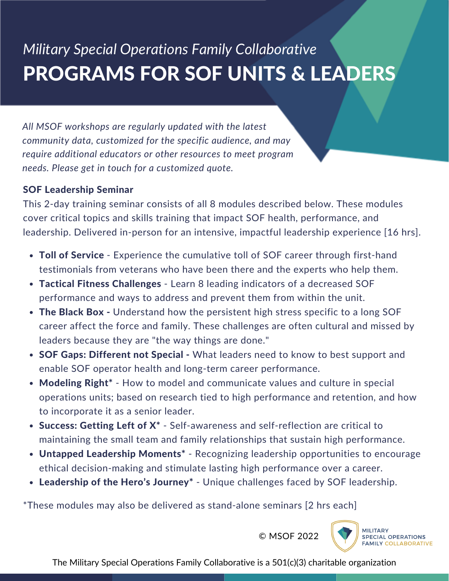# *Military Special Operations Family Collaborative* PROGRAMS FOR SOF UNITS & LEADERS

*All MSOF workshops are regularly updated with the latest community data, customized for the specific audience, and may require additional educators or other resources to meet program needs. Please get in touch for a customized quote.*

#### SOF Leadership Seminar

This 2-day training seminar consists of all 8 modules described below. These modules cover critical topics and skills training that impact SOF health, performance, and leadership. Delivered in-person for an intensive, impactful leadership experience [16 hrs].

- Toll of Service Experience the cumulative toll of SOF career through first-hand testimonials from veterans who have been there and the experts who help them.
- Tactical Fitness Challenges Learn 8 leading indicators of a decreased SOF performance and ways to address and prevent them from within the unit.
- The Black Box Understand how the persistent high stress specific to a long SOF career affect the force and family. These challenges are often cultural and missed by leaders because they are "the way things are done."
- SOF Gaps: Different not Special What leaders need to know to best support and enable SOF operator health and long-term career performance.
- Modeling Right<sup>\*</sup> How to model and communicate values and culture in special operations units; based on research tied to high performance and retention, and how to incorporate it as a senior leader.
- Success: Getting Left of  $X^*$  Self-awareness and self-reflection are critical to maintaining the small team and family relationships that sustain high performance.
- Untapped Leadership Moments<sup>\*</sup> Recognizing leadership opportunities to encourage ethical decision-making and stimulate lasting high performance over a career.
- Leadership of the Hero's Journey<sup>\*</sup> Unique challenges faced by SOF leadership.

\*These modules may also be delivered as stand-alone seminars [2 hrs each]

© MSOF 2022